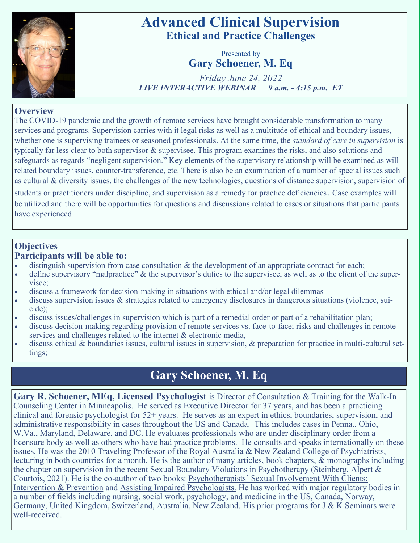

# **Advanced Clinical Supervision Ethical and Practice Challenges**

Presented by **Gary Schoener, M. Eq**

*Friday June 24, 2022 LIVE INTERACTIVE WEBINAR 9 a.m. - 4:15 p.m. ET* 

### **Overview**

The COVID-19 pandemic and the growth of remote services have brought considerable transformation to many services and programs. Supervision carries with it legal risks as well as a multitude of ethical and boundary issues, whether one is supervising trainees or seasoned professionals. At the same time, the *standard of care in supervision* is typically far less clear to both supervisor & supervisee. This program examines the risks, and also solutions and safeguards as regards "negligent supervision." Key elements of the supervisory relationship will be examined as will related boundary issues, counter-transference, etc. There is also be an examination of a number of special issues such as cultural & diversity issues, the challenges of the new technologies, questions of distance supervision, supervision of

students or practitioners under discipline, and supervision as a remedy for practice deficiencies. Case examples will be utilized and there will be opportunities for questions and discussions related to cases or situations that participants have experienced

### **Objectives Participants will be able to:**

- distinguish supervision from case consultation & the development of an appropriate contract for each;
- define supervisory "malpractice" & the supervisor's duties to the supervisee, as well as to the client of the supervisee;
- discuss a framework for decision-making in situations with ethical and/or legal dilemmas
- discuss supervision issues & strategies related to emergency disclosures in dangerous situations (violence, suicide);
- discuss issues/challenges in supervision which is part of a remedial order or part of a rehabilitation plan;
- discuss decision-making regarding provision of remote services vs. face-to-face; risks and challenges in remote services and challenges related to the internet & electronic media,
- discuss ethical & boundaries issues, cultural issues in supervision, & preparation for practice in multi-cultural settings;

# **Gary Schoener, M. Eq**

**Gary R. Schoener, MEq, Licensed Psychologist** is Director of Consultation & Training for the Walk-In Counseling Center in Minneapolis. He served as Executive Director for 37 years, and has been a practicing clinical and forensic psychologist for 52+ years. He serves as an expert in ethics, boundaries, supervision, and administrative responsibility in cases throughout the US and Canada. This includes cases in Penna., Ohio, W.Va., Maryland, Delaware, and DC. He evaluates professionals who are under disciplinary order from a licensure body as well as others who have had practice problems. He consults and speaks internationally on these issues. He was the 2010 Traveling Professor of the Royal Australia & New Zealand College of Psychiatrists, lecturing in both countries for a month. He is the author of many articles, book chapters, & monographs including the chapter on supervision in the recent Sexual Boundary Violations in Psychotherapy (Steinberg, Alpert & Courtois, 2021). He is the co-author of two books: Psychotherapists' Sexual Involvement With Clients: Intervention & Prevention and Assisting Impaired Psychologists. He has worked with major regulatory bodies in a number of fields including nursing, social work, psychology, and medicine in the US, Canada, Norway, Germany, United Kingdom, Switzerland, Australia, New Zealand. His prior programs for J & K Seminars were well-received.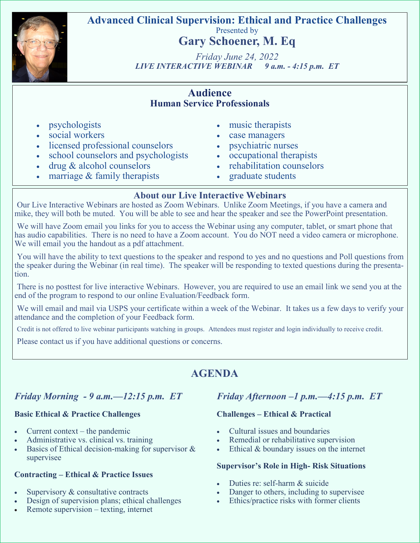

**Advanced Clinical Supervision: Ethical and Practice Challenges** Presented by

**Gary Schoener, M. Eq**

*Friday June 24, 2022 LIVE INTERACTIVE WEBINAR 9 a.m. - 4:15 p.m. ET* 

### **Audience Human Service Professionals**

- **psychologists**
- social workers
- licensed professional counselors
- school counselors and psychologists
- $\text{drug } \& \text{alcohol} \text{ counters}$
- marriage  $&$  family therapists
- music therapists
- case managers
- psychiatric nurses
- occupational therapists
- rehabilitation counselors
- graduate students

## **About our Live Interactive Webinars**

Our Live Interactive Webinars are hosted as Zoom Webinars. Unlike Zoom Meetings, if you have a camera and mike, they will both be muted. You will be able to see and hear the speaker and see the PowerPoint presentation.

We will have Zoom email you links for you to access the Webinar using any computer, tablet, or smart phone that has audio capabilities. There is no need to have a Zoom account. You do NOT need a video camera or microphone. We will email you the handout as a pdf attachment.

You will have the ability to text questions to the speaker and respond to yes and no questions and Poll questions from the speaker during the Webinar (in real time). The speaker will be responding to texted questions during the presentation.

There is no posttest for live interactive Webinars. However, you are required to use an email link we send you at the end of the program to respond to our online Evaluation/Feedback form.

We will email and mail via USPS your certificate within a week of the Webinar. It takes us a few days to verify your attendance and the completion of your Feedback form.

Credit is not offered to live webinar participants watching in groups. Attendees must register and login individually to receive credit.

Please contact us if you have additional questions or concerns.

# **AGENDA**

## *Friday Morning - 9 a.m.—12:15 p.m. ET*

### **Basic Ethical & Practice Challenges**

- Current context the pandemic
- Administrative vs. clinical vs. training
- Basics of Ethical decision-making for supervisor  $\&$ supervisee

#### **Contracting – Ethical & Practice Issues**

- Supervisory & consultative contracts
- Design of supervision plans; ethical challenges
- Remote supervision texting, internet

## *Friday Afternoon –1 p.m.—4:15 p.m. ET*

### **Challenges – Ethical & Practical**

- Cultural issues and boundaries
- Remedial or rehabilitative supervision
- Ethical & boundary issues on the internet

#### **Supervisor's Role in High- Risk Situations**

- Duties re: self-harm & suicide
- Danger to others, including to supervisee
- Ethics/practice risks with former clients